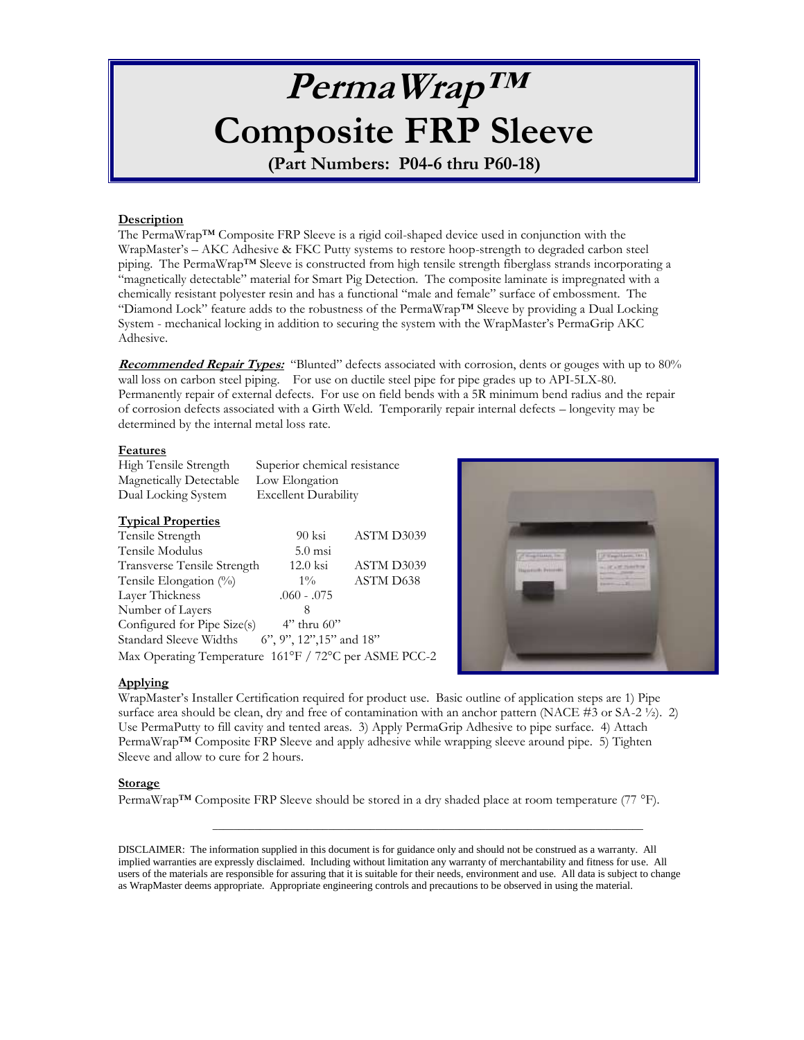# **PermaWrap™ Composite FRP Sleeve**

**(Part Numbers: P04-6 thru P60-18)**

## **Description**

The PermaWrap<sup>TM</sup> Composite FRP Sleeve is a rigid coil-shaped device used in conjunction with the WrapMaster's – AKC Adhesive & FKC Putty systems to restore hoop-strength to degraded carbon steel piping. The PermaWrap<sup>TM</sup> Sleeve is constructed from high tensile strength fiberglass strands incorporating a "magnetically detectable" material for Smart Pig Detection. The composite laminate is impregnated with a chemically resistant polyester resin and has a functional "male and female" surface of embossment. The "Diamond Lock" feature adds to the robustness of the PermaWrap™ Sleeve by providing a Dual Locking System - mechanical locking in addition to securing the system with the WrapMaster's PermaGrip AKC Adhesive.

**Recommended Repair Types:** "Blunted" defects associated with corrosion, dents or gouges with up to 80% wall loss on carbon steel piping. For use on ductile steel pipe for pipe grades up to API-5LX-80. Permanently repair of external defects. For use on field bends with a 5R minimum bend radius and the repair of corrosion defects associated with a Girth Weld. Temporarily repair internal defects – longevity may be determined by the internal metal loss rate.

#### **Features**

| High Tensile Strength          | Superior chemical resistance |
|--------------------------------|------------------------------|
| <b>Magnetically Detectable</b> | Low Elongation               |
| Dual Locking System            | <b>Excellent Durability</b>  |

# **Typical Properties**

| Tensile Strength                                      | $90$ ksi        | ASTM D3039 |
|-------------------------------------------------------|-----------------|------------|
| Tensile Modulus                                       | $5.0$ msi       |            |
| Transverse Tensile Strength                           | $12.0$ ksi      | ASTM D3039 |
| Tensile Elongation (%)                                | $1\%$           | ASTM D638  |
| Layer Thickness                                       | $.060 - .075$   |            |
| Number of Layers                                      |                 |            |
| Configured for Pipe Size(s)                           | $4"$ thru $60"$ |            |
| Standard Sleeve Widths 6", 9", 12", 15" and 18"       |                 |            |
| Max Operating Temperature 161°F / 72°C per ASME PCC-2 |                 |            |



## **Applying**

WrapMaster's Installer Certification required for product use. Basic outline of application steps are 1) Pipe surface area should be clean, dry and free of contamination with an anchor pattern (NACE #3 or SA-2  $\frac{1}{2}$ ). 2) Use PermaPutty to fill cavity and tented areas. 3) Apply PermaGrip Adhesive to pipe surface. 4) Attach PermaWrap™ Composite FRP Sleeve and apply adhesive while wrapping sleeve around pipe. 5) Tighten Sleeve and allow to cure for 2 hours.

## **Storage**

PermaWrap™ Composite FRP Sleeve should be stored in a dry shaded place at room temperature (77 °F).

\_\_\_\_\_\_\_\_\_\_\_\_\_\_\_\_\_\_\_\_\_\_\_\_\_\_\_\_\_\_\_\_\_\_\_\_\_\_\_\_\_\_\_\_\_\_\_\_\_\_\_\_\_\_\_\_\_\_\_\_\_\_\_\_\_\_\_\_\_\_\_\_\_\_\_\_\_\_\_\_\_\_

DISCLAIMER: The information supplied in this document is for guidance only and should not be construed as a warranty. All implied warranties are expressly disclaimed. Including without limitation any warranty of merchantability and fitness for use. All users of the materials are responsible for assuring that it is suitable for their needs, environment and use. All data is subject to change as WrapMaster deems appropriate. Appropriate engineering controls and precautions to be observed in using the material.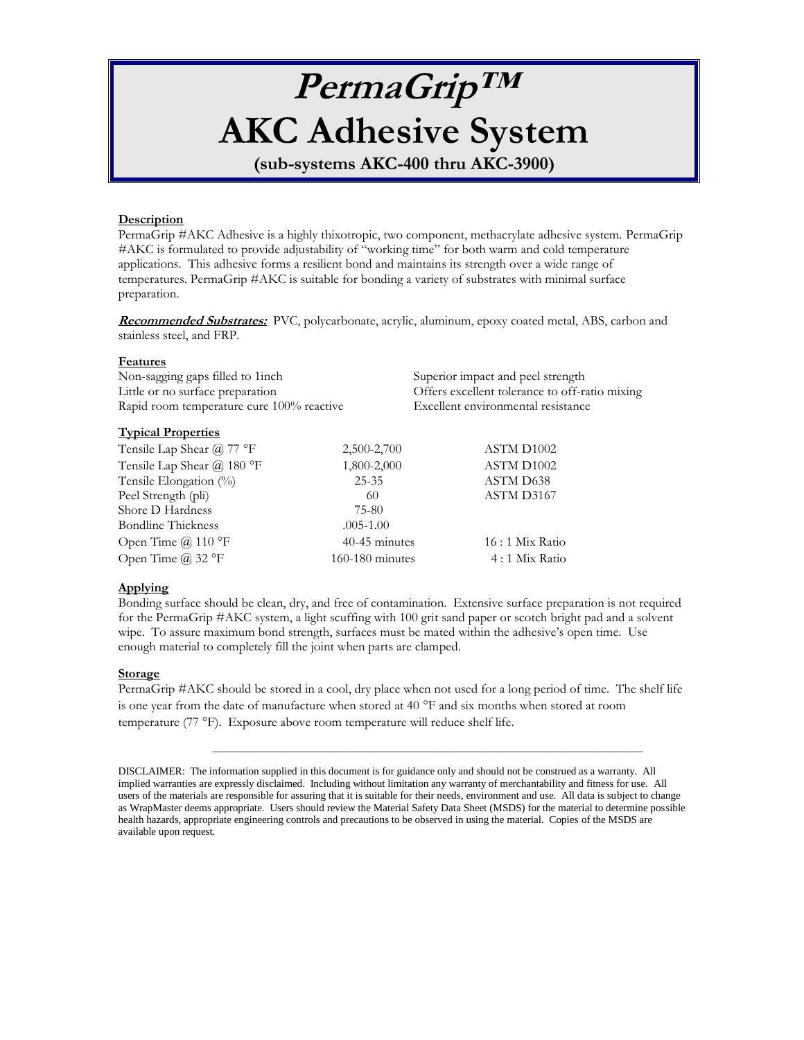# **PermaGrip™ AKC Adhesive System**

**(sub-systems AKC-400 thru AKC-3900)**

## **Description**

PermaGrip #AKC Adhesive is a highly thixotropic, two component, methacrylate adhesive system. PermaGrip #AKC is formulated to provide adjustability of "working time" for both warm and cold temperature applications. This adhesive forms a resilient bond and maintains its strength over a wide range of temperatures. PermaGrip #AKC is suitable for bonding a variety of substrates with minimal surface preparation.

**Recommended Substrates:** PVC, polycarbonate, acrylic, aluminum, epoxy coated metal, ABS, carbon and stainless steel, and FRP.

#### **Features**

Non-sagging gaps filled to 1inch Superior impact and peel strength Little or no surface preparation Offers excellent tolerance to off-ratio mixing Rapid room temperature cure 100% reactive Excellent environmental resistance **Typical Properties** Tensile Lap Shear @ 77 °F 2,500-2,700 ASTM D1002 Tensile Lap Shear  $\omega$  180 °F 1,800-2,000 ASTM D1002 Tensile Elongation (%) 25-35 ASTM D638 Peel Strength (pli) 60 ASTM D3167 Shore D Hardness 75-80 Bondline Thickness .005-1.00 Open Time  $\omega$  110 °F 40-45 minutes 16 : 1 Mix Ratio Open Time  $\omega$  32 °F 160-180 minutes 4 : 1 Mix Ratio

#### **Applying**

Bonding surface should be clean, dry, and free of contamination. Extensive surface preparation is not required for the PermaGrip #AKC system, a light scuffing with 100 grit sand paper or scotch bright pad and a solvent wipe. To assure maximum bond strength, surfaces must be mated within the adhesive's open time. Use enough material to completely fill the joint when parts are clamped.

#### **Storage**

PermaGrip #AKC should be stored in a cool, dry place when not used for a long period of time. The shelf life is one year from the date of manufacture when stored at  $40^{\circ}$ F and six months when stored at room temperature (77 °F). Exposure above room temperature will reduce shelf life.

\_\_\_\_\_\_\_\_\_\_\_\_\_\_\_\_\_\_\_\_\_\_\_\_\_\_\_\_\_\_\_\_\_\_\_\_\_\_\_\_\_\_\_\_\_\_\_\_\_\_\_\_\_\_\_\_\_\_\_\_\_\_\_\_\_\_\_\_\_\_\_\_\_\_\_\_\_\_\_\_\_\_

DISCLAIMER: The information supplied in this document is for guidance only and should not be construed as a warranty. All implied warranties are expressly disclaimed. Including without limitation any warranty of merchantability and fitness for use. All users of the materials are responsible for assuring that it is suitable for their needs, environment and use. All data is subject to change as WrapMaster deems appropriate. Users should review the Material Safety Data Sheet (MSDS) for the material to determine possible health hazards, appropriate engineering controls and precautions to be observed in using the material. Copies of the MSDS are available upon request.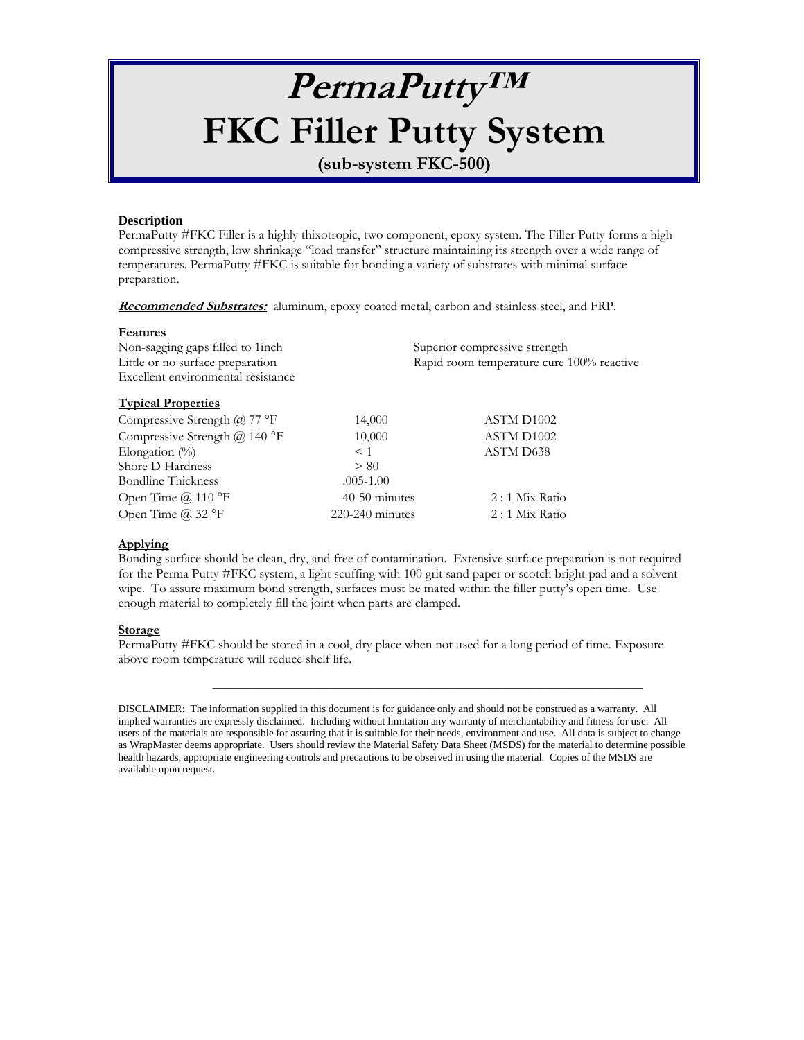# **PermaPutty™ FKC Filler Putty System**

**(sub-system FKC-500)**

#### **Description**

PermaPutty #FKC Filler is a highly thixotropic, two component, epoxy system. The Filler Putty forms a high compressive strength, low shrinkage "load transfer" structure maintaining its strength over a wide range of temperatures. PermaPutty #FKC is suitable for bonding a variety of substrates with minimal surface preparation.

**Recommended Substrates:** aluminum, epoxy coated metal, carbon and stainless steel, and FRP.

#### **Features**

Non-sagging gaps filled to 1inch Superior compressive strength Little or no surface preparation Rapid room temperature cure 100% reactive Excellent environmental resistance

# **Typical Properties**

| Compressive Strength $\omega$ 77 °F  | 14,000            | ASTM D1002      |
|--------------------------------------|-------------------|-----------------|
| Compressive Strength $\omega$ 140 °F | 10,000            | ASTM D1002      |
| Elongation $(\%)$                    | $\leq$ 1          | ASTM D638       |
| Shore D Hardness                     | > 80              |                 |
| <b>Bondline Thickness</b>            | $.005 - 1.00$     |                 |
| Open Time @ 110 °F                   | 40-50 minutes     | $2:1$ Mix Ratio |
| Open Time $\omega$ 32 °F             | $220-240$ minutes | $2:1$ Mix Ratio |

#### **Applying**

Bonding surface should be clean, dry, and free of contamination. Extensive surface preparation is not required for the Perma Putty #FKC system, a light scuffing with 100 grit sand paper or scotch bright pad and a solvent wipe. To assure maximum bond strength, surfaces must be mated within the filler putty's open time. Use enough material to completely fill the joint when parts are clamped.

#### **Storage**

PermaPutty #FKC should be stored in a cool, dry place when not used for a long period of time. Exposure above room temperature will reduce shelf life.

DISCLAIMER: The information supplied in this document is for guidance only and should not be construed as a warranty. All implied warranties are expressly disclaimed. Including without limitation any warranty of merchantability and fitness for use. All users of the materials are responsible for assuring that it is suitable for their needs, environment and use. All data is subject to change as WrapMaster deems appropriate. Users should review the Material Safety Data Sheet (MSDS) for the material to determine possible health hazards, appropriate engineering controls and precautions to be observed in using the material. Copies of the MSDS are available upon request.

\_\_\_\_\_\_\_\_\_\_\_\_\_\_\_\_\_\_\_\_\_\_\_\_\_\_\_\_\_\_\_\_\_\_\_\_\_\_\_\_\_\_\_\_\_\_\_\_\_\_\_\_\_\_\_\_\_\_\_\_\_\_\_\_\_\_\_\_\_\_\_\_\_\_\_\_\_\_\_\_\_\_